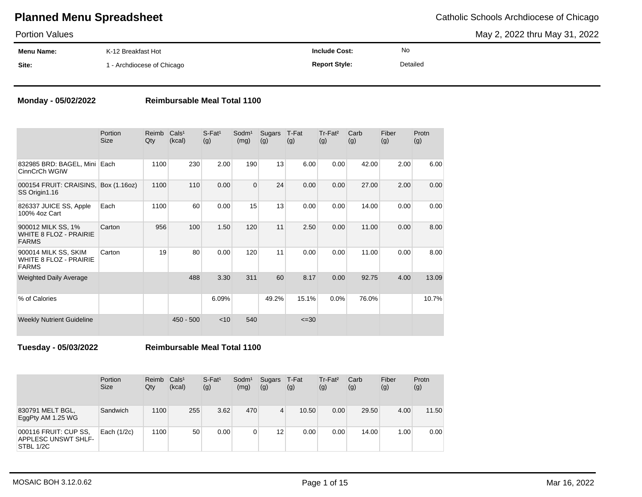May 2, 2022 thru May 31, 2022

| <b>Portion Values</b> |                            |                      |          | May 2, 2022 thru May 31, 2022 |
|-----------------------|----------------------------|----------------------|----------|-------------------------------|
| <b>Menu Name:</b>     | K-12 Breakfast Hot         | <b>Include Cost:</b> | No       |                               |
| Site:                 | 1 - Archdiocese of Chicago | <b>Report Style:</b> | Detailed |                               |

### **Monday - 05/02/2022 Reimbursable Meal Total 1100**

|                                                                       | Portion<br><b>Size</b> | Reimb<br>Qty | Cals <sup>1</sup><br>(kcal) | $S$ -Fat <sup>1</sup><br>(g) | Sodm <sup>1</sup><br>(mg) | Sugars<br>(g) | T-Fat<br>(g) | Tr-Fat <sup>2</sup><br>(g) | Carb<br>(g) | Fiber<br>(g) | Protn<br>(g) |
|-----------------------------------------------------------------------|------------------------|--------------|-----------------------------|------------------------------|---------------------------|---------------|--------------|----------------------------|-------------|--------------|--------------|
| 832985 BRD: BAGEL, Mini Each<br>CinnCrCh WGIW                         |                        | 1100         | 230                         | 2.00                         | 190                       | 13            | 6.00         | 0.00                       | 42.00       | 2.00         | 6.00         |
| 000154 FRUIT: CRAISINS,<br>SS Origin1.16                              | Box (1.16oz)           | 1100         | 110                         | 0.00                         | $\Omega$                  | 24            | 0.00         | 0.00                       | 27.00       | 2.00         | 0.00         |
| 826337 JUICE SS, Apple<br>100% 4oz Cart                               | Each                   | 1100         | 60                          | 0.00                         | 15                        | 13            | 0.00         | 0.00                       | 14.00       | 0.00         | 0.00         |
| 900012 MILK SS, 1%<br><b>WHITE 8 FLOZ - PRAIRIE</b><br><b>FARMS</b>   | Carton                 | 956          | 100                         | 1.50                         | 120                       | 11            | 2.50         | 0.00                       | 11.00       | 0.00         | 8.00         |
| 900014 MILK SS, SKIM<br><b>WHITE 8 FLOZ - PRAIRIE</b><br><b>FARMS</b> | Carton                 | 19           | 80                          | 0.00                         | 120                       | 11            | 0.00         | 0.00                       | 11.00       | 0.00         | 8.00         |
| <b>Weighted Daily Average</b>                                         |                        |              | 488                         | 3.30                         | 311                       | 60            | 8.17         | 0.00                       | 92.75       | 4.00         | 13.09        |
| % of Calories                                                         |                        |              |                             | 6.09%                        |                           | 49.2%         | 15.1%        | 0.0%                       | 76.0%       |              | 10.7%        |
| <b>Weekly Nutrient Guideline</b>                                      |                        |              | $450 - 500$                 | $<$ 10                       | 540                       |               | $\leq 30$    |                            |             |              |              |

**Tuesday - 05/03/2022 Reimbursable Meal Total 1100**

|                                                           | Portion<br><b>Size</b> | Reimb<br>Qty | Cals <sup>1</sup><br>(kcal) | $S$ -Fat <sup>1</sup><br>(g) | Sodm <sup>1</sup><br>(mg) | Sugars T-Fat<br>(g) | (g)   | Tr-Fat <sup>2</sup><br>(g) | Carb<br>(g) | Fiber<br>(g) | Protn<br>(g) |
|-----------------------------------------------------------|------------------------|--------------|-----------------------------|------------------------------|---------------------------|---------------------|-------|----------------------------|-------------|--------------|--------------|
| 830791 MELT BGL,<br>EggPty AM 1.25 WG                     | Sandwich               | 1100         | 255                         | 3.62                         | 470                       | 4                   | 10.50 | 0.00                       | 29.50       | 4.00         | 11.50        |
| 000116 FRUIT: CUP SS,<br>APPLESC UNSWT SHLF-<br>STBL 1/2C | Each (1/2c)            | 1100         | 50                          | 0.00                         | 0                         | 12                  | 0.00  | 0.00                       | 14.00       | 1.00         | 0.00         |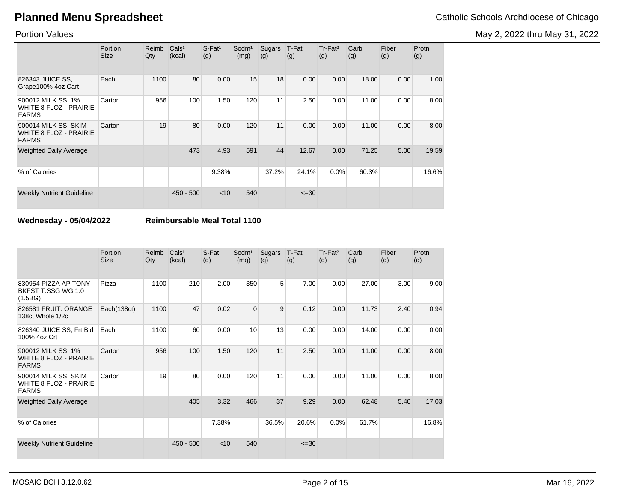May 2, 2022 thru May 31, 2022

Portion Values

|                                                                       | Portion<br><b>Size</b> | Reimb<br>Qty | Cals <sup>1</sup><br>(kcal) | $S$ -Fat <sup>1</sup><br>(g) | Sodm <sup>1</sup><br>(mg) | Sugars<br>(g) | T-Fat<br>(g) | Tr-Fat <sup>2</sup><br>(g) | Carb<br>(g) | Fiber<br>(g) | Protn<br>(g) |
|-----------------------------------------------------------------------|------------------------|--------------|-----------------------------|------------------------------|---------------------------|---------------|--------------|----------------------------|-------------|--------------|--------------|
| 826343 JUICE SS.<br>Grape100% 4oz Cart                                | Each                   | 1100         | 80                          | 0.00                         | 15                        | 18            | 0.00         | 0.00                       | 18.00       | 0.00         | 1.00         |
| 900012 MILK SS, 1%<br><b>WHITE 8 FLOZ - PRAIRIE</b><br><b>FARMS</b>   | Carton                 | 956          | 100                         | 1.50                         | 120                       | 11            | 2.50         | 0.00                       | 11.00       | 0.00         | 8.00         |
| 900014 MILK SS, SKIM<br><b>WHITE 8 FLOZ - PRAIRIE</b><br><b>FARMS</b> | Carton                 | 19           | 80                          | 0.00                         | 120                       | 11            | 0.00         | 0.00                       | 11.00       | 0.00         | 8.00         |
| <b>Weighted Daily Average</b>                                         |                        |              | 473                         | 4.93                         | 591                       | 44            | 12.67        | 0.00                       | 71.25       | 5.00         | 19.59        |
| % of Calories                                                         |                        |              |                             | 9.38%                        |                           | 37.2%         | 24.1%        | 0.0%                       | 60.3%       |              | 16.6%        |
| <b>Weekly Nutrient Guideline</b>                                      |                        |              | $450 - 500$                 | $<$ 10                       | 540                       |               | $\leq 30$    |                            |             |              |              |

**Wednesday - 05/04/2022 Reimbursable Meal Total 1100**

|                                                                       | Portion<br>Size | Reimb<br>Qty | Cals <sup>1</sup><br>(kcal) | $S$ -Fat <sup>1</sup><br>(g) | Sodm <sup>1</sup><br>(mg) | Sugars<br>(g)  | T-Fat<br>(g) | Tr-Fat <sup>2</sup><br>(g) | Carb<br>(g) | Fiber<br>(g) | Protn<br>(g) |
|-----------------------------------------------------------------------|-----------------|--------------|-----------------------------|------------------------------|---------------------------|----------------|--------------|----------------------------|-------------|--------------|--------------|
| 830954 PIZZA AP TONY<br>BKFST T.SSG WG 1.0<br>(1.5BG)                 | Pizza           | 1100         | 210                         | 2.00                         | 350                       | 5 <sub>1</sub> | 7.00         | 0.00                       | 27.00       | 3.00         | 9.00         |
| 826581 FRUIT: ORANGE<br>138ct Whole 1/2c                              | Each(138ct)     | 1100         | 47                          | 0.02                         | $\mathbf 0$               | 9              | 0.12         | 0.00                       | 11.73       | 2.40         | 0.94         |
| 826340 JUICE SS, Frt Bld<br>100% 4oz Crt                              | Each            | 1100         | 60                          | 0.00                         | 10                        | 13             | 0.00         | 0.00                       | 14.00       | 0.00         | 0.00         |
| 900012 MILK SS, 1%<br><b>WHITE 8 FLOZ - PRAIRIE</b><br><b>FARMS</b>   | Carton          | 956          | 100                         | 1.50                         | 120                       | 11             | 2.50         | 0.00                       | 11.00       | 0.00         | 8.00         |
| 900014 MILK SS, SKIM<br><b>WHITE 8 FLOZ - PRAIRIE</b><br><b>FARMS</b> | Carton          | 19           | 80                          | 0.00                         | 120                       | 11             | 0.00         | 0.00                       | 11.00       | 0.00         | 8.00         |
| <b>Weighted Daily Average</b>                                         |                 |              | 405                         | 3.32                         | 466                       | 37             | 9.29         | 0.00                       | 62.48       | 5.40         | 17.03        |
| % of Calories                                                         |                 |              |                             | 7.38%                        |                           | 36.5%          | 20.6%        | 0.0%                       | 61.7%       |              | 16.8%        |
| <b>Weekly Nutrient Guideline</b>                                      |                 |              | $450 - 500$                 | $<$ 10                       | 540                       |                | $\leq$ 30    |                            |             |              |              |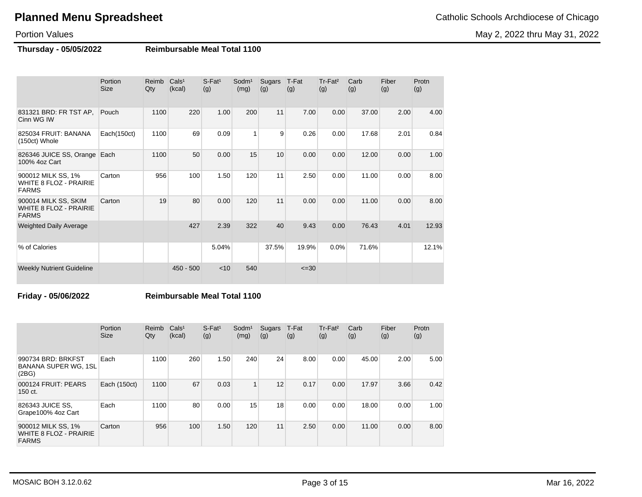May 2, 2022 thru May 31, 2022

## Portion Values

**Thursday - 05/05/2022 Reimbursable Meal Total 1100**

|                                                                       | Portion<br><b>Size</b> | Reimb<br>Qty | Cals <sup>1</sup><br>(kcal) | S-Fat <sup>1</sup><br>(g) | Sodm <sup>1</sup><br>(mg) | Sugars<br>(g) | T-Fat<br>(g) | Tr-Fat <sup>2</sup><br>(g) | Carb<br>(g) | Fiber<br>(g) | Protn<br>(g) |
|-----------------------------------------------------------------------|------------------------|--------------|-----------------------------|---------------------------|---------------------------|---------------|--------------|----------------------------|-------------|--------------|--------------|
| 831321 BRD: FR TST AP,<br>Cinn WG IW                                  | Pouch                  | 1100         | 220                         | 1.00                      | 200                       | 11            | 7.00         | 0.00                       | 37.00       | 2.00         | 4.00         |
| 825034 FRUIT: BANANA<br>(150ct) Whole                                 | Each(150ct)            | 1100         | 69                          | 0.09                      | $\overline{1}$            | 9             | 0.26         | 0.00                       | 17.68       | 2.01         | 0.84         |
| 826346 JUICE SS, Orange<br>100% 4oz Cart                              | Each                   | 1100         | 50                          | 0.00                      | 15                        | 10            | 0.00         | 0.00                       | 12.00       | 0.00         | 1.00         |
| 900012 MILK SS, 1%<br><b>WHITE 8 FLOZ - PRAIRIE</b><br><b>FARMS</b>   | Carton                 | 956          | 100                         | 1.50                      | 120                       | 11            | 2.50         | 0.00                       | 11.00       | 0.00         | 8.00         |
| 900014 MILK SS, SKIM<br><b>WHITE 8 FLOZ - PRAIRIE</b><br><b>FARMS</b> | Carton                 | 19           | 80                          | 0.00                      | 120                       | 11            | 0.00         | 0.00                       | 11.00       | 0.00         | 8.00         |
| <b>Weighted Daily Average</b>                                         |                        |              | 427                         | 2.39                      | 322                       | 40            | 9.43         | 0.00                       | 76.43       | 4.01         | 12.93        |
| % of Calories                                                         |                        |              |                             | 5.04%                     |                           | 37.5%         | 19.9%        | 0.0%                       | 71.6%       |              | 12.1%        |
| <b>Weekly Nutrient Guideline</b>                                      |                        |              | $450 - 500$                 | $<$ 10                    | 540                       |               | $\leq 30$    |                            |             |              |              |

### **Friday - 05/06/2022 Reimbursable Meal Total 1100**

|                                                                     | Portion<br><b>Size</b> | Reimb<br>Qty | Cals <sup>1</sup><br>(kcal) | $S$ -Fat <sup>1</sup><br>(g) | Sodm <sup>1</sup><br>(mg) | Sugars<br>(g) | T-Fat<br>(g) | Tr-Fat <sup>2</sup><br>(g) | Carb<br>(g) | Fiber<br>(g) | Protn<br>(g) |
|---------------------------------------------------------------------|------------------------|--------------|-----------------------------|------------------------------|---------------------------|---------------|--------------|----------------------------|-------------|--------------|--------------|
| 990734 BRD: BRKFST<br><b>BANANA SUPER WG, 1SL</b><br>(2BG)          | Each                   | 1100         | 260                         | 1.50                         | 240                       | 24            | 8.00         | 0.00                       | 45.00       | 2.00         | 5.00         |
| 000124 FRUIT: PEARS<br>150 ct.                                      | Each (150ct)           | 1100         | 67                          | 0.03                         |                           | 12            | 0.17         | 0.00                       | 17.97       | 3.66         | 0.42         |
| 826343 JUICE SS,<br>Grape100% 4oz Cart                              | Each                   | 1100         | 80                          | 0.00                         | 15                        | 18            | 0.00         | 0.00                       | 18.00       | 0.00         | 1.00         |
| 900012 MILK SS, 1%<br><b>WHITE 8 FLOZ - PRAIRIE</b><br><b>FARMS</b> | Carton                 | 956          | 100                         | 1.50                         | 120                       | 11            | 2.50         | 0.00                       | 11.00       | 0.00         | 8.00         |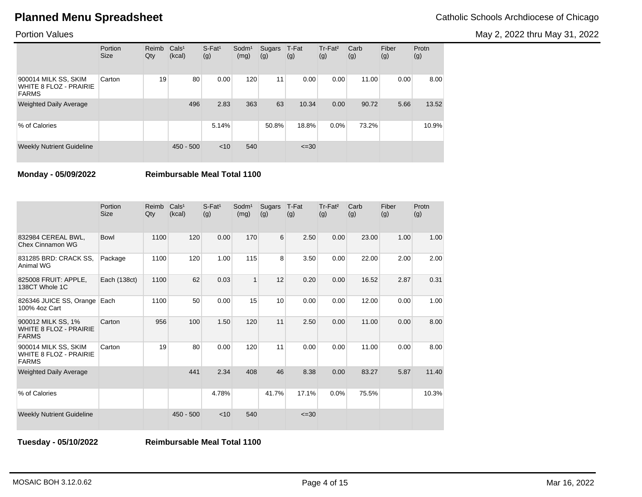May 2, 2022 thru May 31, 2022

### Portion Values

|                                                                       | Portion<br><b>Size</b> | Reimb<br>Qty | Cals <sup>1</sup><br>(kcal) | $S$ -Fat <sup>1</sup><br>(g) | $S$ odm $1$<br>(mg) | Sugars<br>(g) | T-Fat<br>(g) | Tr-Fat <sup>2</sup><br>(g) | Carb<br>(g) | Fiber<br>(g) | Protn<br>(g) |
|-----------------------------------------------------------------------|------------------------|--------------|-----------------------------|------------------------------|---------------------|---------------|--------------|----------------------------|-------------|--------------|--------------|
| 900014 MILK SS, SKIM<br><b>WHITE 8 FLOZ - PRAIRIE</b><br><b>FARMS</b> | Carton                 | 19           | 80                          | 0.00                         | 120                 | 11            | 0.00         | 0.00                       | 11.00       | 0.00         | 8.00         |
| <b>Weighted Daily Average</b>                                         |                        |              | 496                         | 2.83                         | 363                 | 63            | 10.34        | 0.00                       | 90.72       | 5.66         | 13.52        |
| % of Calories                                                         |                        |              |                             | 5.14%                        |                     | 50.8%         | 18.8%        | $0.0\%$                    | 73.2%       |              | 10.9%        |
| <b>Weekly Nutrient Guideline</b>                                      |                        |              | $450 - 500$                 | $<$ 10                       | 540                 |               | $\leq 30$    |                            |             |              |              |

**Monday - 05/09/2022 Reimbursable Meal Total 1100**

|                                                                       | Portion<br><b>Size</b> | Reimb<br>Qty | Cals <sup>1</sup><br>(kcal) | $S$ -Fat <sup>1</sup><br>(g) | Sodm <sup>1</sup><br>(mg) | Sugars<br>(g) | T-Fat<br>(g) | Tr-Fat <sup>2</sup><br>(g) | Carb<br>(g) | Fiber<br>(g) | Protn<br>(g) |
|-----------------------------------------------------------------------|------------------------|--------------|-----------------------------|------------------------------|---------------------------|---------------|--------------|----------------------------|-------------|--------------|--------------|
| 832984 CEREAL BWL.<br>Chex Cinnamon WG                                | Bowl                   | 1100         | 120                         | 0.00                         | 170                       | 6             | 2.50         | 0.00                       | 23.00       | 1.00         | 1.00         |
| 831285 BRD: CRACK SS,<br>Animal WG                                    | Package                | 1100         | 120                         | 1.00                         | 115                       | 8             | 3.50         | 0.00                       | 22.00       | 2.00         | 2.00         |
| 825008 FRUIT: APPLE,<br>138CT Whole 1C                                | Each (138ct)           | 1100         | 62                          | 0.03                         | $\overline{1}$            | 12            | 0.20         | 0.00                       | 16.52       | 2.87         | 0.31         |
| 826346 JUICE SS, Orange<br>100% 4oz Cart                              | Each                   | 1100         | 50                          | 0.00                         | 15                        | 10            | 0.00         | 0.00                       | 12.00       | 0.00         | 1.00         |
| 900012 MILK SS, 1%<br><b>WHITE 8 FLOZ - PRAIRIE</b><br><b>FARMS</b>   | Carton                 | 956          | 100                         | 1.50                         | 120                       | 11            | 2.50         | 0.00                       | 11.00       | 0.00         | 8.00         |
| 900014 MILK SS, SKIM<br><b>WHITE 8 FLOZ - PRAIRIE</b><br><b>FARMS</b> | Carton                 | 19           | 80                          | 0.00                         | 120                       | 11            | 0.00         | 0.00                       | 11.00       | 0.00         | 8.00         |
| <b>Weighted Daily Average</b>                                         |                        |              | 441                         | 2.34                         | 408                       | 46            | 8.38         | 0.00                       | 83.27       | 5.87         | 11.40        |
| % of Calories                                                         |                        |              |                             | 4.78%                        |                           | 41.7%         | 17.1%        | 0.0%                       | 75.5%       |              | 10.3%        |
| <b>Weekly Nutrient Guideline</b>                                      |                        |              | $450 - 500$                 | $<$ 10                       | 540                       |               | $\leq 30$    |                            |             |              |              |

**Tuesday - 05/10/2022 Reimbursable Meal Total 1100**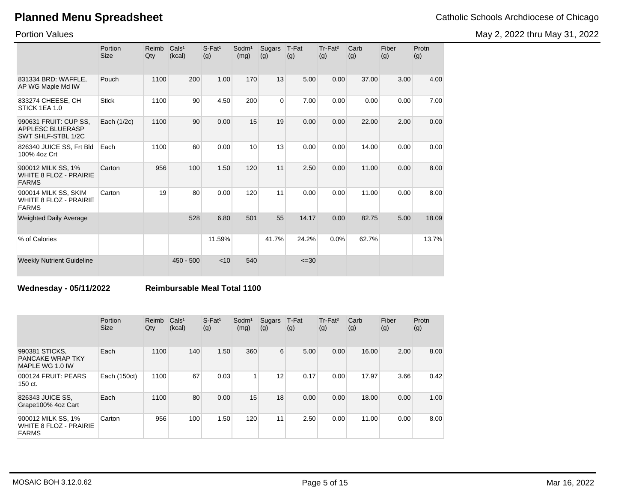Portion Values

|  |  |  |  | Catholic Schools Archdiocese of Chicago |  |  |
|--|--|--|--|-----------------------------------------|--|--|
|--|--|--|--|-----------------------------------------|--|--|

May 2, 2022 thru May 31, 2022

|                                                                        | Portion<br><b>Size</b> | <b>Reimb</b><br>Qty | Cals <sup>1</sup><br>(kcal) | $S$ -Fat <sup>1</sup><br>(g) | Sodm <sup>1</sup><br>(mg) | Sugars<br>(g)  | T-Fat<br>(g) | Tr-Fat <sup>2</sup><br>(g) | Carb<br>(g) | Fiber<br>(g) | Protn<br>(g) |
|------------------------------------------------------------------------|------------------------|---------------------|-----------------------------|------------------------------|---------------------------|----------------|--------------|----------------------------|-------------|--------------|--------------|
| 831334 BRD: WAFFLE,<br>AP WG Maple Md IW                               | Pouch                  | 1100                | 200                         | 1.00                         | 170                       | 13             | 5.00         | 0.00                       | 37.00       | 3.00         | 4.00         |
| 833274 CHEESE, CH<br>STICK 1EA 1.0                                     | <b>Stick</b>           | 1100                | 90                          | 4.50                         | 200                       | $\overline{0}$ | 7.00         | 0.00                       | 0.00        | 0.00         | 7.00         |
| 990631 FRUIT: CUP SS,<br><b>APPLESC BLUERASP</b><br>SWT SHLF-STBL 1/2C | Each (1/2c)            | 1100                | 90                          | 0.00                         | 15                        | 19             | 0.00         | 0.00                       | 22.00       | 2.00         | 0.00         |
| 826340 JUICE SS, Frt Bld<br>100% 4oz Crt                               | Each                   | 1100                | 60                          | 0.00                         | 10                        | 13             | 0.00         | 0.00                       | 14.00       | 0.00         | 0.00         |
| 900012 MILK SS, 1%<br><b>WHITE 8 FLOZ - PRAIRIE</b><br><b>FARMS</b>    | Carton                 | 956                 | 100                         | 1.50                         | 120                       | 11             | 2.50         | 0.00                       | 11.00       | 0.00         | 8.00         |
| 900014 MILK SS, SKIM<br><b>WHITE 8 FLOZ - PRAIRIE</b><br><b>FARMS</b>  | Carton                 | 19                  | 80                          | 0.00                         | 120                       | 11             | 0.00         | 0.00                       | 11.00       | 0.00         | 8.00         |
| <b>Weighted Daily Average</b>                                          |                        |                     | 528                         | 6.80                         | 501                       | 55             | 14.17        | 0.00                       | 82.75       | 5.00         | 18.09        |
| % of Calories                                                          |                        |                     |                             | 11.59%                       |                           | 41.7%          | 24.2%        | 0.0%                       | 62.7%       |              | 13.7%        |
| <b>Weekly Nutrient Guideline</b>                                       |                        |                     | $450 - 500$                 | < 10                         | 540                       |                | $\leq 30$    |                            |             |              |              |

**Wednesday - 05/11/2022 Reimbursable Meal Total 1100**

|                                                                     | Portion<br><b>Size</b> | Reimb<br>Qty | Cals <sup>1</sup><br>(kcal) | $S$ -Fat <sup>1</sup><br>(g) | Sodm <sup>1</sup><br>(mg) | Sugars<br>(g) | T-Fat<br>(g) | Tr-Fat <sup>2</sup><br>(g) | Carb<br>(g) | Fiber<br>(g) | Protn<br>(g) |
|---------------------------------------------------------------------|------------------------|--------------|-----------------------------|------------------------------|---------------------------|---------------|--------------|----------------------------|-------------|--------------|--------------|
| 990381 STICKS,<br>PANCAKE WRAP TKY<br>MAPLE WG 1.0 IW               | Each                   | 1100         | 140                         | 1.50                         | 360                       | 6             | 5.00         | 0.00                       | 16.00       | 2.00         | 8.00         |
| 000124 FRUIT: PEARS<br>150 ct.                                      | Each (150ct)           | 1100         | 67                          | 0.03                         |                           | 12            | 0.17         | 0.00                       | 17.97       | 3.66         | 0.42         |
| 826343 JUICE SS,<br>Grape100% 4oz Cart                              | Each                   | 1100         | 80                          | 0.00                         | 15                        | 18            | 0.00         | 0.00                       | 18.00       | 0.00         | 1.00         |
| 900012 MILK SS, 1%<br><b>WHITE 8 FLOZ - PRAIRIE</b><br><b>FARMS</b> | Carton                 | 956          | 100                         | 1.50                         | 120                       | 11            | 2.50         | 0.00                       | 11.00       | 0.00         | 8.00         |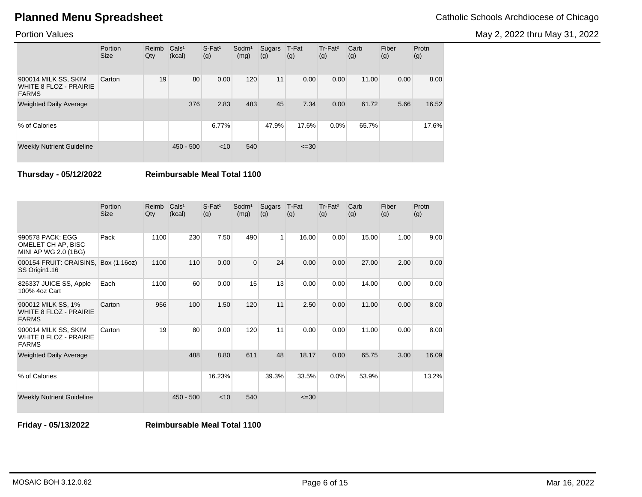May 2, 2022 thru May 31, 2022

### Portion Values

|                                                                       | Portion<br><b>Size</b> | Reimb<br>Qty | Cals <sup>1</sup><br>(kcal) | $S$ -Fat <sup>1</sup><br>(g) | $S$ odm $1$<br>(mg) | Sugars<br>(g) | T-Fat<br>(g) | Tr-Fat <sup>2</sup><br>(g) | Carb<br>(g) | Fiber<br>(g) | Protn<br>(g) |
|-----------------------------------------------------------------------|------------------------|--------------|-----------------------------|------------------------------|---------------------|---------------|--------------|----------------------------|-------------|--------------|--------------|
| 900014 MILK SS, SKIM<br><b>WHITE 8 FLOZ - PRAIRIE</b><br><b>FARMS</b> | Carton                 | 19           | 80                          | 0.00                         | 120                 | 11            | 0.00         | 0.00                       | 11.00       | 0.00         | 8.00         |
| <b>Weighted Daily Average</b>                                         |                        |              | 376                         | 2.83                         | 483                 | 45            | 7.34         | 0.00                       | 61.72       | 5.66         | 16.52        |
| % of Calories                                                         |                        |              |                             | 6.77%                        |                     | 47.9%         | 17.6%        | $0.0\%$                    | 65.7%       |              | 17.6%        |
| <b>Weekly Nutrient Guideline</b>                                      |                        |              | $450 - 500$                 | $<$ 10                       | 540                 |               | $\leq 30$    |                            |             |              |              |

**Thursday - 05/12/2022 Reimbursable Meal Total 1100**

|                                                                       | Portion<br><b>Size</b> | Reimb<br>Qty | Cals <sup>1</sup><br>(kcal) | $S$ -Fat <sup>1</sup><br>(g) | Sodm <sup>1</sup><br>(mg) | Sugars<br>(g)  | T-Fat<br>(g) | Tr-Fat <sup>2</sup><br>(g) | Carb<br>(g) | Fiber<br>(g) | Protn<br>(g) |
|-----------------------------------------------------------------------|------------------------|--------------|-----------------------------|------------------------------|---------------------------|----------------|--------------|----------------------------|-------------|--------------|--------------|
| 990578 PACK: EGG<br>OMELET CH AP, BISC<br>MINI AP WG 2.0 (1BG)        | Pack                   | 1100         | 230                         | 7.50                         | 490                       | 1 <sup>1</sup> | 16.00        | 0.00                       | 15.00       | 1.00         | 9.00         |
| 000154 FRUIT: CRAISINS,<br>SS Origin1.16                              | Box (1.16oz)           | 1100         | 110                         | 0.00                         | $\Omega$                  | 24             | 0.00         | 0.00                       | 27.00       | 2.00         | 0.00         |
| 826337 JUICE SS, Apple<br>100% 4oz Cart                               | Each                   | 1100         | 60                          | 0.00                         | 15                        | 13             | 0.00         | 0.00                       | 14.00       | 0.00         | 0.00         |
| 900012 MILK SS, 1%<br><b>WHITE 8 FLOZ - PRAIRIE</b><br><b>FARMS</b>   | Carton                 | 956          | 100                         | 1.50                         | 120                       | 11             | 2.50         | 0.00                       | 11.00       | 0.00         | 8.00         |
| 900014 MILK SS, SKIM<br><b>WHITE 8 FLOZ - PRAIRIE</b><br><b>FARMS</b> | Carton                 | 19           | 80                          | 0.00                         | 120                       | 11             | 0.00         | 0.00                       | 11.00       | 0.00         | 8.00         |
| <b>Weighted Daily Average</b>                                         |                        |              | 488                         | 8.80                         | 611                       | 48             | 18.17        | 0.00                       | 65.75       | 3.00         | 16.09        |
| % of Calories                                                         |                        |              |                             | 16.23%                       |                           | 39.3%          | 33.5%        | 0.0%                       | 53.9%       |              | 13.2%        |
| <b>Weekly Nutrient Guideline</b>                                      |                        |              | $450 - 500$                 | $<$ 10                       | 540                       |                | $\leq 30$    |                            |             |              |              |

**Friday - 05/13/2022 Reimbursable Meal Total 1100**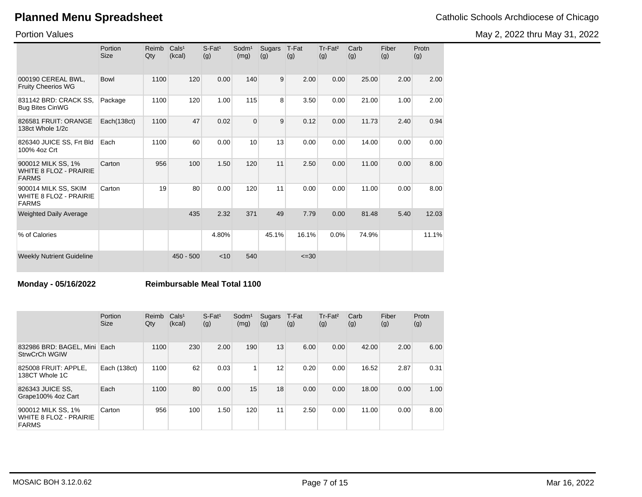May 2, 2022 thru May 31, 2022

Portion Values

|                                                                       | Portion<br><b>Size</b> | Reimb<br>Qty | Cals <sup>1</sup><br>(kcal) | $S$ -Fat <sup>1</sup><br>(g) | Sodm <sup>1</sup><br>(mg) | Sugars<br>(g) | T-Fat<br>(g) | Tr-Fat <sup>2</sup><br>(g) | Carb<br>(g) | Fiber<br>(g) | Protn<br>(g) |
|-----------------------------------------------------------------------|------------------------|--------------|-----------------------------|------------------------------|---------------------------|---------------|--------------|----------------------------|-------------|--------------|--------------|
| 000190 CEREAL BWL.<br><b>Fruity Cheerios WG</b>                       | Bowl                   | 1100         | 120                         | 0.00                         | 140                       | 9             | 2.00         | 0.00                       | 25.00       | 2.00         | 2.00         |
| 831142 BRD: CRACK SS.<br><b>Bug Bites CinWG</b>                       | Package                | 1100         | 120                         | 1.00                         | 115                       | 8             | 3.50         | 0.00                       | 21.00       | 1.00         | 2.00         |
| 826581 FRUIT: ORANGE<br>138ct Whole 1/2c                              | Each(138ct)            | 1100         | 47                          | 0.02                         | 0                         | 9             | 0.12         | 0.00                       | 11.73       | 2.40         | 0.94         |
| 826340 JUICE SS, Frt Bld<br>100% 4oz Crt                              | Each                   | 1100         | 60                          | 0.00                         | 10                        | 13            | 0.00         | 0.00                       | 14.00       | 0.00         | 0.00         |
| 900012 MILK SS, 1%<br><b>WHITE 8 FLOZ - PRAIRIE</b><br><b>FARMS</b>   | Carton                 | 956          | 100                         | 1.50                         | 120                       | 11            | 2.50         | 0.00                       | 11.00       | 0.00         | 8.00         |
| 900014 MILK SS, SKIM<br><b>WHITE 8 FLOZ - PRAIRIE</b><br><b>FARMS</b> | Carton                 | 19           | 80                          | 0.00                         | 120                       | 11            | 0.00         | 0.00                       | 11.00       | 0.00         | 8.00         |
| <b>Weighted Daily Average</b>                                         |                        |              | 435                         | 2.32                         | 371                       | 49            | 7.79         | 0.00                       | 81.48       | 5.40         | 12.03        |
| % of Calories                                                         |                        |              |                             | 4.80%                        |                           | 45.1%         | 16.1%        | 0.0%                       | 74.9%       |              | 11.1%        |
| <b>Weekly Nutrient Guideline</b>                                      |                        |              | $450 - 500$                 | < 10                         | 540                       |               | $\leq 30$    |                            |             |              |              |

### **Monday - 05/16/2022 Reimbursable Meal Total 1100**

|                                                                     | Portion<br><b>Size</b> | Reimb<br>Qty | Cals <sup>1</sup><br>(kcal) | $S$ -Fat <sup>1</sup><br>(g) | Sodm <sup>1</sup><br>(mg) | Sugars<br>(g) | T-Fat<br>(g) | Tr-Fat <sup>2</sup><br>(g) | Carb<br>(g) | Fiber<br>(g) | Protn<br>(g) |
|---------------------------------------------------------------------|------------------------|--------------|-----------------------------|------------------------------|---------------------------|---------------|--------------|----------------------------|-------------|--------------|--------------|
| 832986 BRD: BAGEL, Mini Each<br>StrwCrCh WGIW                       |                        | 1100         | 230                         | 2.00                         | 190                       | 13            | 6.00         | 0.00                       | 42.00       | 2.00         | 6.00         |
| 825008 FRUIT: APPLE.<br>138CT Whole 1C                              | Each (138ct)           | 1100         | 62                          | 0.03                         |                           | 12            | 0.20         | 0.00                       | 16.52       | 2.87         | 0.31         |
| 826343 JUICE SS,<br>Grape100% 4oz Cart                              | Each                   | 1100         | 80                          | 0.00                         | 15                        | 18            | 0.00         | 0.00                       | 18.00       | 0.00         | 1.00         |
| 900012 MILK SS, 1%<br><b>WHITE 8 FLOZ - PRAIRIE</b><br><b>FARMS</b> | Carton                 | 956          | 100                         | 1.50                         | 120                       | 11            | 2.50         | 0.00                       | 11.00       | 0.00         | 8.00         |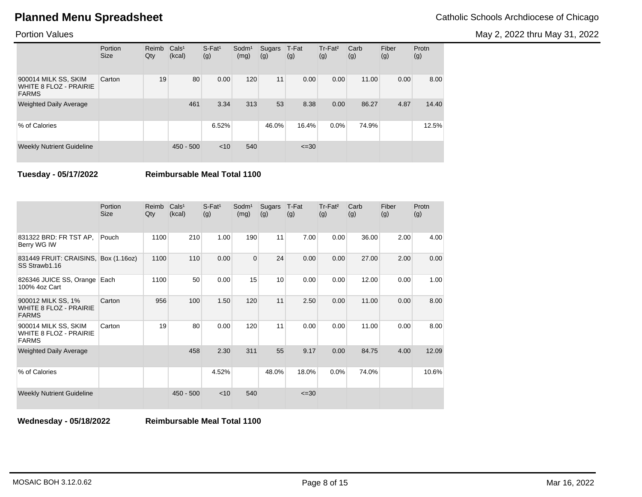May 2, 2022 thru May 31, 2022

### Portion Values

|                                                                       | Portion<br><b>Size</b> | Reimb<br>Qty | Cals <sup>1</sup><br>(kcal) | $S$ -Fat <sup>1</sup><br>(g) | $S$ odm $1$<br>(mg) | Sugars<br>(g) | T-Fat<br>(g) | Tr-Fat <sup>2</sup><br>(g) | Carb<br>(g) | Fiber<br>(g) | Protn<br>(g) |
|-----------------------------------------------------------------------|------------------------|--------------|-----------------------------|------------------------------|---------------------|---------------|--------------|----------------------------|-------------|--------------|--------------|
| 900014 MILK SS, SKIM<br><b>WHITE 8 FLOZ - PRAIRIE</b><br><b>FARMS</b> | Carton                 | 19           | 80                          | 0.00                         | 120                 | 11            | 0.00         | 0.00                       | 11.00       | 0.00         | 8.00         |
| <b>Weighted Daily Average</b>                                         |                        |              | 461                         | 3.34                         | 313                 | 53            | 8.38         | 0.00                       | 86.27       | 4.87         | 14.40        |
| % of Calories                                                         |                        |              |                             | 6.52%                        |                     | 46.0%         | 16.4%        | $0.0\%$                    | 74.9%       |              | 12.5%        |
| <b>Weekly Nutrient Guideline</b>                                      |                        |              | $450 - 500$                 | $<$ 10                       | 540                 |               | $\leq 30$    |                            |             |              |              |

**Tuesday - 05/17/2022 Reimbursable Meal Total 1100**

|                                                                       | Portion<br><b>Size</b> | Reimb<br>Qty | Cals <sup>1</sup><br>(kcal) | $S-Fat1$<br>(g) | Sodm <sup>1</sup><br>(mg) | Sugars<br>(g)   | T-Fat<br>(g) | Tr-Fat <sup>2</sup><br>(g) | Carb<br>(g) | Fiber<br>(g) | Protn<br>(g) |
|-----------------------------------------------------------------------|------------------------|--------------|-----------------------------|-----------------|---------------------------|-----------------|--------------|----------------------------|-------------|--------------|--------------|
| 831322 BRD: FR TST AP,<br>Berry WG IW                                 | Pouch                  | 1100         | 210                         | 1.00            | 190                       | 11              | 7.00         | 0.00                       | 36.00       | 2.00         | 4.00         |
| 831449 FRUIT: CRAISINS,<br>SS Strawb1.16                              | Box (1.16oz)           | 1100         | 110                         | 0.00            | $\Omega$                  | 24              | 0.00         | 0.00                       | 27.00       | 2.00         | 0.00         |
| 826346 JUICE SS, Orange<br>100% 4oz Cart                              | Each                   | 1100         | 50                          | 0.00            | 15                        | 10 <sup>1</sup> | 0.00         | 0.00                       | 12.00       | 0.00         | 1.00         |
| 900012 MILK SS, 1%<br><b>WHITE 8 FLOZ - PRAIRIE</b><br><b>FARMS</b>   | Carton                 | 956          | 100                         | 1.50            | 120                       | 11              | 2.50         | 0.00                       | 11.00       | 0.00         | 8.00         |
| 900014 MILK SS, SKIM<br><b>WHITE 8 FLOZ - PRAIRIE</b><br><b>FARMS</b> | Carton                 | 19           | 80                          | 0.00            | 120                       | 11              | 0.00         | 0.00                       | 11.00       | 0.00         | 8.00         |
| <b>Weighted Daily Average</b>                                         |                        |              | 458                         | 2.30            | 311                       | 55              | 9.17         | 0.00                       | 84.75       | 4.00         | 12.09        |
| % of Calories                                                         |                        |              |                             | 4.52%           |                           | 48.0%           | 18.0%        | 0.0%                       | 74.0%       |              | 10.6%        |
| <b>Weekly Nutrient Guideline</b>                                      |                        |              | $450 - 500$                 | $<$ 10          | 540                       |                 | $\leq 30$    |                            |             |              |              |

**Wednesday - 05/18/2022 Reimbursable Meal Total 1100**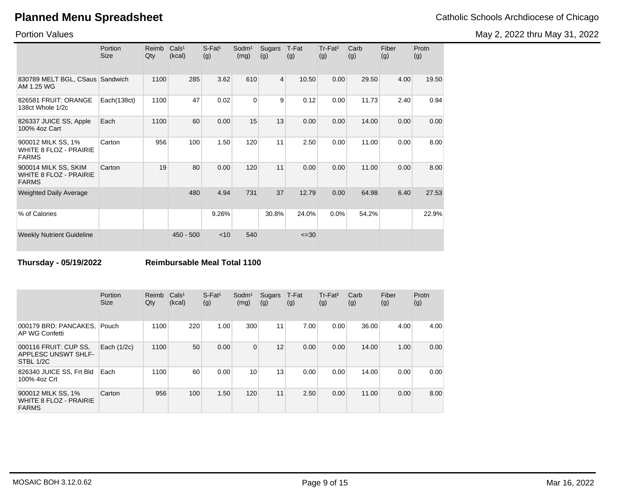Portion Values

|                                                                       | Portion<br><b>Size</b> | Reimb<br>Qty | Cals <sup>1</sup><br>(kcal) | $S$ -Fat <sup>1</sup><br>(g) | Sodm <sup>1</sup><br>(mg) | Sugars<br>(g)  | T-Fat<br>(g) | Tr-Fat <sup>2</sup><br>(g) | Carb<br>(g) | Fiber<br>(g) | Protn<br>(g) |
|-----------------------------------------------------------------------|------------------------|--------------|-----------------------------|------------------------------|---------------------------|----------------|--------------|----------------------------|-------------|--------------|--------------|
| 830789 MELT BGL, CSaus Sandwich<br>AM 1.25 WG                         |                        | 1100         | 285                         | 3.62                         | 610                       | $\overline{4}$ | 10.50        | 0.00                       | 29.50       | 4.00         | 19.50        |
| 826581 FRUIT: ORANGE<br>138ct Whole 1/2c                              | Each(138ct)            | 1100         | 47                          | 0.02                         | $\Omega$                  | 9              | 0.12         | 0.00                       | 11.73       | 2.40         | 0.94         |
| 826337 JUICE SS, Apple<br>100% 4oz Cart                               | Each                   | 1100         | 60                          | 0.00                         | 15                        | 13             | 0.00         | 0.00                       | 14.00       | 0.00         | 0.00         |
| 900012 MILK SS, 1%<br><b>WHITE 8 FLOZ - PRAIRIE</b><br><b>FARMS</b>   | Carton                 | 956          | 100                         | 1.50                         | 120                       | 11             | 2.50         | 0.00                       | 11.00       | 0.00         | 8.00         |
| 900014 MILK SS, SKIM<br><b>WHITE 8 FLOZ - PRAIRIE</b><br><b>FARMS</b> | Carton                 | 19           | 80                          | 0.00                         | 120                       | 11             | 0.00         | 0.00                       | 11.00       | 0.00         | 8.00         |
| <b>Weighted Daily Average</b>                                         |                        |              | 480                         | 4.94                         | 731                       | 37             | 12.79        | 0.00                       | 64.98       | 6.40         | 27.53        |
| % of Calories                                                         |                        |              |                             | 9.26%                        |                           | 30.8%          | 24.0%        | 0.0%                       | 54.2%       |              | 22.9%        |
| <b>Weekly Nutrient Guideline</b>                                      |                        |              | $450 - 500$                 | < 10                         | 540                       |                | $\leq 30$    |                            |             |              |              |

**Thursday - 05/19/2022 Reimbursable Meal Total 1100**

|                                                                     | Portion<br><b>Size</b> | Reimb<br>Qty | Cals <sup>1</sup><br>(kcal) | $S$ -Fat <sup>1</sup><br>(g) | Sodm <sup>1</sup><br>(mg) | Sugars<br>(g) | T-Fat<br>(g) | Tr-Fat <sup>2</sup><br>(g) | Carb<br>(g) | Fiber<br>(g) | Protn<br>(g) |
|---------------------------------------------------------------------|------------------------|--------------|-----------------------------|------------------------------|---------------------------|---------------|--------------|----------------------------|-------------|--------------|--------------|
| 000179 BRD: PANCAKES,<br>AP WG Confetti                             | Pouch                  | 1100         | 220                         | 1.00                         | 300                       | 11            | 7.00         | 0.00                       | 36.00       | 4.00         | 4.00         |
| 000116 FRUIT: CUP SS,<br><b>APPLESC UNSWT SHLF-</b><br>STBL 1/2C    | Each (1/2c)            | 1100         | 50                          | 0.00                         | $\Omega$                  | 12            | 0.00         | 0.00                       | 14.00       | 1.00         | 0.00         |
| 826340 JUICE SS, Frt Bld<br>100% 4oz Crt                            | Each                   | 1100         | 60                          | 0.00                         | 10                        | 13            | 0.00         | 0.00                       | 14.00       | 0.00         | 0.00         |
| 900012 MILK SS, 1%<br><b>WHITE 8 FLOZ - PRAIRIE</b><br><b>FARMS</b> | Carton                 | 956          | 100                         | 1.50                         | 120                       | 11            | 2.50         | 0.00                       | 11.00       | 0.00         | 8.00         |

# May 2, 2022 thru May 31, 2022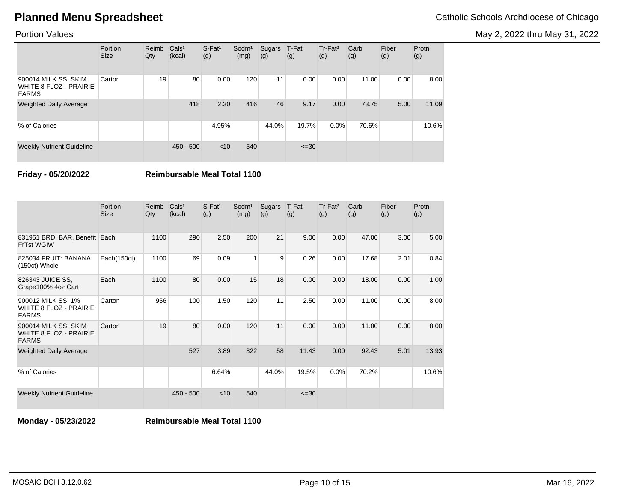May 2, 2022 thru May 31, 2022

|                                                                       | Portion<br><b>Size</b> | Reimb<br>Qty | Cals <sup>1</sup><br>(kcal) | $S$ -Fat <sup>1</sup><br>(g) | Sodm <sup>1</sup><br>(mg) | Sugars<br>(g) | T-Fat<br>(g) | Tr-Fat <sup>2</sup><br>(g) | Carb<br>(g) | Fiber<br>(g) | Protn<br>(g) |
|-----------------------------------------------------------------------|------------------------|--------------|-----------------------------|------------------------------|---------------------------|---------------|--------------|----------------------------|-------------|--------------|--------------|
| 900014 MILK SS, SKIM<br><b>WHITE 8 FLOZ - PRAIRIE</b><br><b>FARMS</b> | Carton                 | 19           | 80                          | 0.00                         | 120                       | 11            | 0.00         | 0.00                       | 11.00       | 0.00         | 8.00         |
| <b>Weighted Daily Average</b>                                         |                        |              | 418                         | 2.30                         | 416                       | 46            | 9.17         | 0.00                       | 73.75       | 5.00         | 11.09        |
| % of Calories                                                         |                        |              |                             | 4.95%                        |                           | 44.0%         | 19.7%        | 0.0%                       | 70.6%       |              | 10.6%        |
| <b>Weekly Nutrient Guideline</b>                                      |                        |              | $450 - 500$                 | $<$ 10                       | 540                       |               | $\leq 30$    |                            |             |              |              |

**Friday - 05/20/2022 Reimbursable Meal Total 1100**

|                                                                       | Portion<br><b>Size</b> | Reimb<br>Qty | Cals <sup>1</sup><br>(kcal) | $S$ -Fat <sup>1</sup><br>(g) | Sodm <sup>1</sup><br>(mg) | Sugars<br>(g) | T-Fat<br>(g) | Tr-Fat <sup>2</sup><br>(g) | Carb<br>(g) | Fiber<br>(g) | Protn<br>(g) |
|-----------------------------------------------------------------------|------------------------|--------------|-----------------------------|------------------------------|---------------------------|---------------|--------------|----------------------------|-------------|--------------|--------------|
| 831951 BRD: BAR, Benefit Each<br><b>FrTst WGIW</b>                    |                        | 1100         | 290                         | 2.50                         | 200                       | 21            | 9.00         | 0.00                       | 47.00       | 3.00         | 5.00         |
| 825034 FRUIT: BANANA<br>(150ct) Whole                                 | Each(150ct)            | 1100         | 69                          | 0.09                         | 1                         | 9             | 0.26         | 0.00                       | 17.68       | 2.01         | 0.84         |
| 826343 JUICE SS,<br>Grape100% 4oz Cart                                | Each                   | 1100         | 80                          | 0.00                         | 15                        | 18            | 0.00         | 0.00                       | 18.00       | 0.00         | 1.00         |
| 900012 MILK SS, 1%<br><b>WHITE 8 FLOZ - PRAIRIE</b><br><b>FARMS</b>   | Carton                 | 956          | 100                         | 1.50                         | 120                       | 11            | 2.50         | 0.00                       | 11.00       | 0.00         | 8.00         |
| 900014 MILK SS, SKIM<br><b>WHITE 8 FLOZ - PRAIRIE</b><br><b>FARMS</b> | Carton                 | 19           | 80                          | 0.00                         | 120                       | 11            | 0.00         | 0.00                       | 11.00       | 0.00         | 8.00         |
| <b>Weighted Daily Average</b>                                         |                        |              | 527                         | 3.89                         | 322                       | 58            | 11.43        | 0.00                       | 92.43       | 5.01         | 13.93        |
| % of Calories                                                         |                        |              |                             | 6.64%                        |                           | 44.0%         | 19.5%        | 0.0%                       | 70.2%       |              | 10.6%        |
| <b>Weekly Nutrient Guideline</b>                                      |                        |              | $450 - 500$                 | $<$ 10                       | 540                       |               | $\leq 30$    |                            |             |              |              |

**Monday - 05/23/2022 Reimbursable Meal Total 1100**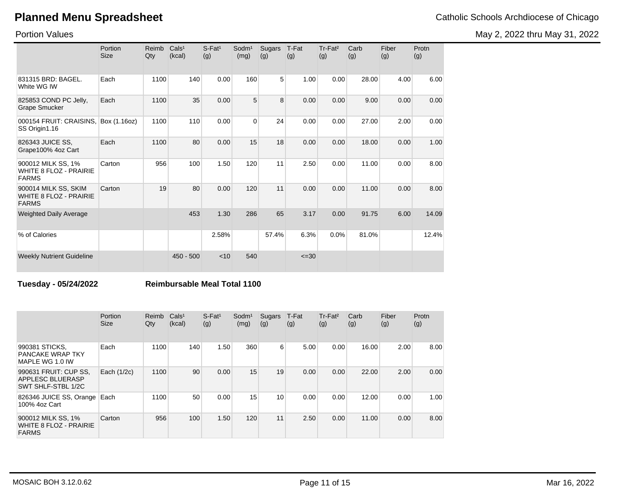May 2, 2022 thru May 31, 2022

Portion Values

|                                                                       | Portion<br><b>Size</b> | Reimb<br>Qty | Cals <sup>1</sup><br>(kcal) | $S$ -Fat <sup>1</sup><br>(g) | Sodm <sup>1</sup><br>(mg) | <b>Sugars</b><br>(g) | T-Fat<br>(g) | Tr-Fat <sup>2</sup><br>(g) | Carb<br>(g) | Fiber<br>(g) | Protn<br>(g) |
|-----------------------------------------------------------------------|------------------------|--------------|-----------------------------|------------------------------|---------------------------|----------------------|--------------|----------------------------|-------------|--------------|--------------|
| 831315 BRD: BAGEL.<br>White WG IW                                     | Each                   | 1100         | 140                         | 0.00                         | 160                       | 5                    | 1.00         | 0.00                       | 28.00       | 4.00         | 6.00         |
| 825853 COND PC Jelly,<br><b>Grape Smucker</b>                         | Each                   | 1100         | 35                          | 0.00                         | 5                         | 8                    | 0.00         | 0.00                       | 9.00        | 0.00         | 0.00         |
| 000154 FRUIT: CRAISINS,<br>SS Origin1.16                              | Box (1.16oz)           | 1100         | 110                         | 0.00                         | $\Omega$                  | 24                   | 0.00         | 0.00                       | 27.00       | 2.00         | 0.00         |
| 826343 JUICE SS,<br>Grape100% 4oz Cart                                | Each                   | 1100         | 80                          | 0.00                         | 15                        | 18                   | 0.00         | 0.00                       | 18.00       | 0.00         | 1.00         |
| 900012 MILK SS, 1%<br><b>WHITE 8 FLOZ - PRAIRIE</b><br><b>FARMS</b>   | Carton                 | 956          | 100                         | 1.50                         | 120                       | 11                   | 2.50         | 0.00                       | 11.00       | 0.00         | 8.00         |
| 900014 MILK SS, SKIM<br><b>WHITE 8 FLOZ - PRAIRIE</b><br><b>FARMS</b> | Carton                 | 19           | 80                          | 0.00                         | 120                       | 11                   | 0.00         | 0.00                       | 11.00       | 0.00         | 8.00         |
| <b>Weighted Daily Average</b>                                         |                        |              | 453                         | 1.30                         | 286                       | 65                   | 3.17         | 0.00                       | 91.75       | 6.00         | 14.09        |
| % of Calories                                                         |                        |              |                             | 2.58%                        |                           | 57.4%                | 6.3%         | 0.0%                       | 81.0%       |              | 12.4%        |
| <b>Weekly Nutrient Guideline</b>                                      |                        |              | $450 - 500$                 | $<$ 10                       | 540                       |                      | $\leq 30$    |                            |             |              |              |

## **Tuesday - 05/24/2022 Reimbursable Meal Total 1100**

|                                                                     | Portion<br><b>Size</b> | Reimb<br>Qty | Cals <sup>1</sup><br>(kcal) | $S$ -Fat <sup>1</sup><br>(g) | Sodm <sup>1</sup><br>(mg) | Sugars<br>(g) | T-Fat<br>(g) | Tr-Fat <sup>2</sup><br>(g) | Carb<br>(g) | Fiber<br>(g) | Protn<br>(g) |
|---------------------------------------------------------------------|------------------------|--------------|-----------------------------|------------------------------|---------------------------|---------------|--------------|----------------------------|-------------|--------------|--------------|
| 990381 STICKS.<br><b>PANCAKE WRAP TKY</b><br>MAPLE WG 1.0 IW        | Each                   | 1100         | 140                         | 1.50                         | 360                       | 6             | 5.00         | 0.00                       | 16.00       | 2.00         | 8.00         |
| 990631 FRUIT: CUP SS.<br>APPLESC BLUERASP<br>SWT SHLF-STBL 1/2C     | Each (1/2c)            | 1100         | 90                          | 0.00                         | 15                        | 19            | 0.00         | 0.00                       | 22.00       | 2.00         | 0.00         |
| 826346 JUICE SS, Orange<br>100% 4oz Cart                            | Each                   | 1100         | 50                          | 0.00                         | 15                        | 10            | 0.00         | 0.00                       | 12.00       | 0.00         | 1.00         |
| 900012 MILK SS, 1%<br><b>WHITE 8 FLOZ - PRAIRIE</b><br><b>FARMS</b> | Carton                 | 956          | 100                         | 1.50                         | 120                       | 11            | 2.50         | 0.00                       | 11.00       | 0.00         | 8.00         |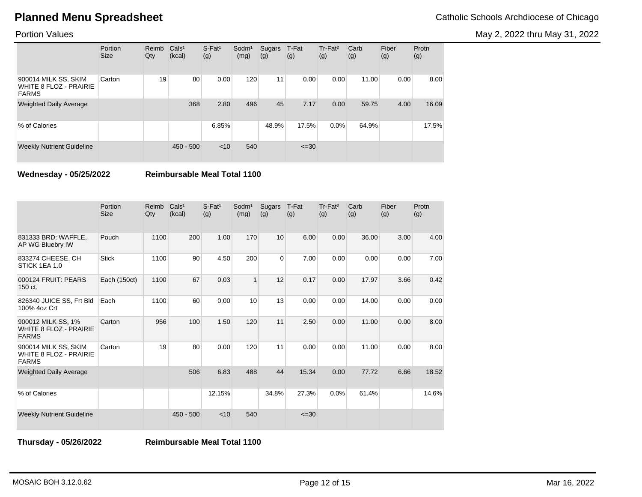May 2, 2022 thru May 31, 2022

### Portion Values

|                                                                | Portion<br><b>Size</b> | Reimb<br>Qty | Cals <sup>1</sup><br>(kcal) | $S$ -Fat <sup>1</sup><br>(g) | Sodm <sup>1</sup><br>(mg) | Sugars<br>(g) | T-Fat<br>(g) | Tr-Fat <sup>2</sup><br>(g) | Carb<br>(g) | Fiber<br>(g) | Protn<br>(g) |
|----------------------------------------------------------------|------------------------|--------------|-----------------------------|------------------------------|---------------------------|---------------|--------------|----------------------------|-------------|--------------|--------------|
| 900014 MILK SS, SKIM<br>WHITE 8 FLOZ - PRAIRIE<br><b>FARMS</b> | Carton                 | 19           | 80                          | 0.00                         | 120                       | 11            | 0.00         | 0.00                       | 11.00       | 0.00         | 8.00         |
| <b>Weighted Daily Average</b>                                  |                        |              | 368                         | 2.80                         | 496                       | 45            | 7.17         | 0.00                       | 59.75       | 4.00         | 16.09        |
| % of Calories                                                  |                        |              |                             | 6.85%                        |                           | 48.9%         | 17.5%        | $0.0\%$                    | 64.9%       |              | 17.5%        |
| <b>Weekly Nutrient Guideline</b>                               |                        |              | $450 - 500$                 | $<$ 10                       | 540                       |               | $\leq 30$    |                            |             |              |              |

**Wednesday - 05/25/2022 Reimbursable Meal Total 1100**

|                                                                       | Portion<br><b>Size</b> | Reimb<br>Qty | Cals <sup>1</sup><br>(kcal) | $S$ -Fat <sup>1</sup><br>(g) | Sodm <sup>1</sup><br>(mg) | <b>Sugars</b><br>(g) | T-Fat<br>(g) | Tr-Fat <sup>2</sup><br>(g) | Carb<br>(g) | Fiber<br>(g) | Protn<br>(g) |
|-----------------------------------------------------------------------|------------------------|--------------|-----------------------------|------------------------------|---------------------------|----------------------|--------------|----------------------------|-------------|--------------|--------------|
| 831333 BRD: WAFFLE,<br>AP WG Bluebry IW                               | Pouch                  | 1100         | 200                         | 1.00                         | 170                       | 10                   | 6.00         | 0.00                       | 36.00       | 3.00         | 4.00         |
| 833274 CHEESE, CH<br>STICK 1EA 1.0                                    | <b>Stick</b>           | 1100         | 90                          | 4.50                         | 200                       | $\overline{0}$       | 7.00         | 0.00                       | 0.00        | 0.00         | 7.00         |
| 000124 FRUIT: PEARS<br>150 ct.                                        | Each (150ct)           | 1100         | 67                          | 0.03                         | $\mathbf{1}$              | 12                   | 0.17         | 0.00                       | 17.97       | 3.66         | 0.42         |
| 826340 JUICE SS, Frt Bld<br>100% 4oz Crt                              | Each                   | 1100         | 60                          | 0.00                         | 10                        | 13                   | 0.00         | 0.00                       | 14.00       | 0.00         | 0.00         |
| 900012 MILK SS, 1%<br><b>WHITE 8 FLOZ - PRAIRIE</b><br><b>FARMS</b>   | Carton                 | 956          | 100                         | 1.50                         | 120                       | 11                   | 2.50         | 0.00                       | 11.00       | 0.00         | 8.00         |
| 900014 MILK SS, SKIM<br><b>WHITE 8 FLOZ - PRAIRIE</b><br><b>FARMS</b> | Carton                 | 19           | 80                          | 0.00                         | 120                       | 11                   | 0.00         | 0.00                       | 11.00       | 0.00         | 8.00         |
| Weighted Daily Average                                                |                        |              | 506                         | 6.83                         | 488                       | 44                   | 15.34        | 0.00                       | 77.72       | 6.66         | 18.52        |
| % of Calories                                                         |                        |              |                             | 12.15%                       |                           | 34.8%                | 27.3%        | 0.0%                       | 61.4%       |              | 14.6%        |
| <b>Weekly Nutrient Guideline</b>                                      |                        |              | $450 - 500$                 | $<$ 10                       | 540                       |                      | $\leq 30$    |                            |             |              |              |

**Thursday - 05/26/2022 Reimbursable Meal Total 1100**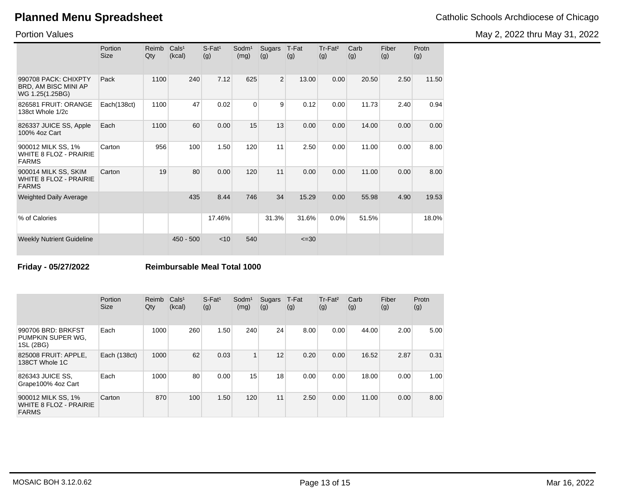Portion Values

May 2, 2022 thru May 31, 2022

|                                                                       | Portion<br>Size | Reimb<br>Qty | Cals <sup>1</sup><br>(kcal) | $S-Fat1$<br>(g) | Sodm <sup>1</sup><br>(mg) | Sugars<br>(g) | T-Fat<br>(g) | Tr-Fat <sup>2</sup><br>(g) | Carb<br>(g) | Fiber<br>(g) | Protn<br>(g) |
|-----------------------------------------------------------------------|-----------------|--------------|-----------------------------|-----------------|---------------------------|---------------|--------------|----------------------------|-------------|--------------|--------------|
| 990708 PACK: CHIXPTY<br>BRD, AM BISC MINI AP<br>WG 1.25(1.25BG)       | Pack            | 1100         | 240                         | 7.12            | 625                       | 2             | 13.00        | 0.00                       | 20.50       | 2.50         | 11.50        |
| 826581 FRUIT: ORANGE<br>138ct Whole 1/2c                              | Each(138ct)     | 1100         | 47                          | 0.02            | $\mathbf 0$               | 9             | 0.12         | 0.00                       | 11.73       | 2.40         | 0.94         |
| 826337 JUICE SS, Apple<br>100% 4oz Cart                               | Each            | 1100         | 60                          | 0.00            | 15                        | 13            | 0.00         | 0.00                       | 14.00       | 0.00         | 0.00         |
| 900012 MILK SS, 1%<br><b>WHITE 8 FLOZ - PRAIRIE</b><br><b>FARMS</b>   | Carton          | 956          | 100                         | 1.50            | 120                       | 11            | 2.50         | 0.00                       | 11.00       | 0.00         | 8.00         |
| 900014 MILK SS, SKIM<br><b>WHITE 8 FLOZ - PRAIRIE</b><br><b>FARMS</b> | Carton          | 19           | 80                          | 0.00            | 120                       | 11            | 0.00         | 0.00                       | 11.00       | 0.00         | 8.00         |
| <b>Weighted Daily Average</b>                                         |                 |              | 435                         | 8.44            | 746                       | 34            | 15.29        | 0.00                       | 55.98       | 4.90         | 19.53        |
| % of Calories                                                         |                 |              |                             | 17.46%          |                           | 31.3%         | 31.6%        | 0.0%                       | 51.5%       |              | 18.0%        |
| <b>Weekly Nutrient Guideline</b>                                      |                 |              | $450 - 500$                 | $<$ 10          | 540                       |               | $\leq 30$    |                            |             |              |              |

**Friday - 05/27/2022 Reimbursable Meal Total 1000**

|                                                                     | Portion<br><b>Size</b> | Reimb<br>Qty | Cals <sup>1</sup><br>(kcal) | $S$ -Fat <sup>1</sup><br>(g) | Sodm <sup>1</sup><br>(mg) | Sugars<br>(g) | T-Fat<br>(g) | Tr-Fat <sup>2</sup><br>(g) | Carb<br>(g) | Fiber<br>(g) | Protn<br>(g) |
|---------------------------------------------------------------------|------------------------|--------------|-----------------------------|------------------------------|---------------------------|---------------|--------------|----------------------------|-------------|--------------|--------------|
| 990706 BRD: BRKFST<br>PUMPKIN SUPER WG.<br>1SL (2BG)                | Each                   | 1000         | 260                         | 1.50                         | 240                       | 24            | 8.00         | 0.00                       | 44.00       | 2.00         | 5.00         |
| 825008 FRUIT: APPLE.<br>138CT Whole 1C                              | Each (138ct)           | 1000         | 62                          | 0.03                         | 1                         | 12            | 0.20         | 0.00                       | 16.52       | 2.87         | 0.31         |
| 826343 JUICE SS,<br>Grape100% 4oz Cart                              | Each                   | 1000         | 80                          | 0.00                         | 15                        | 18            | 0.00         | 0.00                       | 18.00       | 0.00         | 1.00         |
| 900012 MILK SS, 1%<br><b>WHITE 8 FLOZ - PRAIRIE</b><br><b>FARMS</b> | Carton                 | 870          | 100                         | 1.50                         | 120                       | 11            | 2.50         | 0.00                       | 11.00       | 0.00         | 8.00         |